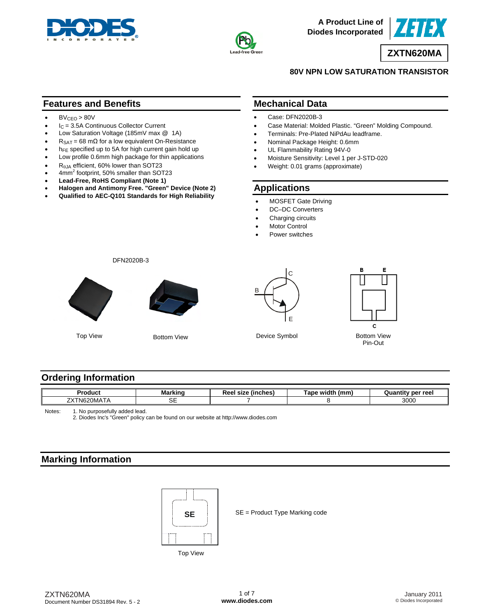



**A Product Line of Diodes Incorporated**



**ZXTN620MA** 

#### **80V NPN LOW SATURATION TRANSISTOR**

## **Features and Benefits**

- $\bullet$  BV<sub>CEO</sub> > 80V
- $\bullet$  I<sub>C</sub> = 3.5A Continuous Collector Current
- Low Saturation Voltage (185mV max @ 1A)
- $R_{\text{SAT}} = 68 \text{ m}\Omega$  for a low equivalent On-Resistance
- h<sub>FE</sub> specified up to 5A for high current gain hold up
- Low profile 0.6mm high package for thin applications
- $\bullet$  R<sub> $\theta$ JA</sub> efficient, 60% lower than SOT23
- $\bullet$  4mm<sup>2</sup> footprint, 50% smaller than SOT23
- **Lead-Free, RoHS Compliant (Note 1)**
- **Halogen and Antimony Free. "Green" Device (Note 2)**
- **Qualified to AEC-Q101 Standards for High Reliability**

#### **Mechanical Data**

- Case: DFN2020B-3
- Case Material: Molded Plastic. "Green" Molding Compound.
- Terminals: Pre-Plated NiPdAu leadframe.
- Nominal Package Height: 0.6mm
- UL Flammability Rating 94V-0
- Moisture Sensitivity: Level 1 per J-STD-020
- Weight: 0.01 grams (approximate)

### **Applications**

- MOSFET Gate Driving
- DC-DC Converters
- Charging circuits
- **Motor Control**
- Power switches

DFN2020B-3



Top View

Bottom View





Device Symbol Bottom View Pin-Out

# **Ordering Information**

| Product                                            | <b>Marking</b> | $\mathbf{1}$ is a land $\mathbf{A}$<br>ncnes<br>יי | .<br>(mm<br><b>Tape width</b> | ' per reel<br>oı |
|----------------------------------------------------|----------------|----------------------------------------------------|-------------------------------|------------------|
| $\overline{\phantom{a}}$<br>フヽパ<br>. M620'<br>MATA | --<br>◡∟       |                                                    |                               | 3000             |

Notes: 1. No purposefully added lead.

2. Diodes Inc's "Green" policy can be found on our website at<http://www.diodes.com>

# **Marking Information**



SE = Product Type Marking code

Top View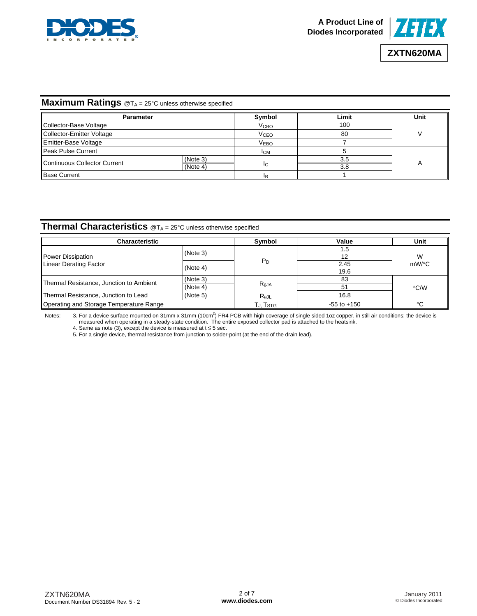



# **ZXTN620MA**

# **Maximum Ratings** @T<sub>A</sub> = 25°C unless otherwise specified

| <b>Parameter</b>             |          | Symbol                  | ∟imit | Unit |  |
|------------------------------|----------|-------------------------|-------|------|--|
| Collector-Base Voltage       |          | <b>V</b> <sub>CВО</sub> | 100   |      |  |
| Collector-Emitter Voltage    |          | <b>V<sub>CEO</sub></b>  | 80    |      |  |
| Emitter-Base Voltage         |          | <b>VEBO</b>             |       |      |  |
| Peak Pulse Current           |          | <b>ICM</b>              |       |      |  |
| Continuous Collector Current | (Note 3) |                         | 3.5   |      |  |
|                              | (Note 4) | IC.                     | 3.8   |      |  |
| <b>Base Current</b>          |          | ΙB                      |       |      |  |

### **Thermal Characteristics** @T<sub>A</sub> = 25°C unless otherwise specified

| <b>Characteristic</b>                   | Symbol   | Value          | Unit            |               |  |
|-----------------------------------------|----------|----------------|-----------------|---------------|--|
| Power Dissipation                       | (Note 3) |                | 1.5<br>12       | W             |  |
| <b>Linear Derating Factor</b>           | (Note 4) | $P_D$          | 2.45<br>19.6    | $mW$ /°C      |  |
| Thermal Resistance, Junction to Ambient | (Note 3) |                | 83              |               |  |
|                                         | (Note 4) | $R_{\theta$ JA | 51              | $\degree$ C/W |  |
| Thermal Resistance, Junction to Lead    | (Note 5) | $R_{\theta$ JL | 16.8            |               |  |
| Operating and Storage Temperature Range |          | Гј, Tsтg       | $-55$ to $+150$ | ∘∩            |  |

Notes: 3. For a device surface mounted on 31mm x 31mm (10cm<sup>2</sup>) FR4 PCB with high coverage of single sided 1oz copper, in still air conditions; the device is measured when operating in a steady-state condition. The entire exposed collector pad is attached to the heatsink.

4. Same as note (3), except the device is measured at  $t \le 5$  sec.

5. For a single device, thermal resistance from junction to solder-point (at the end of the drain lead).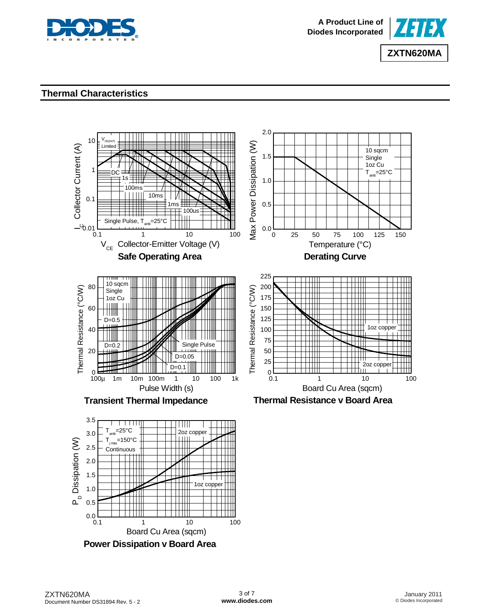



#### **Thermal Characteristics**



0.1 1 10 100  $0.0 L$ <br>0.1 Board Cu Area (sqcm)

**Power Dissipation v Board Area**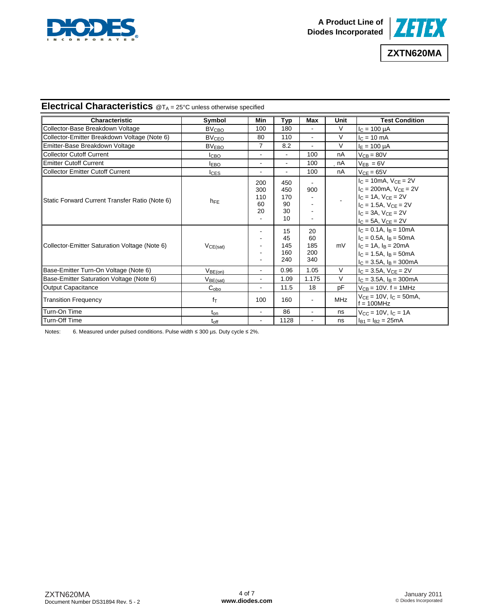



# **Electrical Characteristics** @TA = 25°C unless otherwise specified

| <b>Characteristic</b>                          | Symbol                  | Min                           | Typ                                 | Max                           | Unit       | <b>Test Condition</b>                                                                                                                                                            |
|------------------------------------------------|-------------------------|-------------------------------|-------------------------------------|-------------------------------|------------|----------------------------------------------------------------------------------------------------------------------------------------------------------------------------------|
| Collector-Base Breakdown Voltage               | <b>BV<sub>CBO</sub></b> | 100                           | 180                                 |                               | V          | $I_C = 100 \mu A$                                                                                                                                                                |
| Collector-Emitter Breakdown Voltage (Note 6)   | <b>BV<sub>CEO</sub></b> | 80                            | 110                                 |                               | $\vee$     | $I_C = 10$ mA                                                                                                                                                                    |
| Emitter-Base Breakdown Voltage                 | BV <sub>EBO</sub>       | $\overline{7}$                | 8.2                                 |                               | $\vee$     | $I_F = 100 \mu A$                                                                                                                                                                |
| <b>Collector Cutoff Current</b>                | Iсво                    | $\blacksquare$                | $\overline{a}$                      | 100                           | nA         | $V_{CB} = 80V$                                                                                                                                                                   |
| <b>Emitter Cutoff Current</b>                  | <b>IEBO</b>             | $\blacksquare$                | $\overline{a}$                      | 100                           | nA         | $V_{EB} = 6V$                                                                                                                                                                    |
| <b>Collector Emitter Cutoff Current</b>        | <b>I</b> CES            | ٠                             |                                     | 100                           | nA         | $VCE = 65V$                                                                                                                                                                      |
| Static Forward Current Transfer Ratio (Note 6) | $h_{FE}$                | 200<br>300<br>110<br>60<br>20 | 450<br>450<br>170<br>90<br>30<br>10 | 900                           |            | $I_C = 10mA$ , $V_{CE} = 2V$<br>$I_C = 200 \text{mA}$ , $V_{CE} = 2V$<br>$IC = 1A$ , $VCE = 2V$<br>$IC = 1.5A, VCE = 2V$<br>$IC = 3A$ , $VCE = 2V$<br>$I_C = 5A$ , $V_{CE} = 2V$ |
| Collector-Emitter Saturation Voltage (Note 6)  | VCE(sat)                | ۰                             | 15<br>45<br>145<br>160<br>240       | 20<br>60<br>185<br>200<br>340 | mV         | $I_C = 0.1A$ , $I_B = 10mA$<br>$IC = 0.5A$ , $IB = 50mA$<br>$I_C = 1A$ , $I_B = 20mA$<br>$c = 1.5A$ . $a = 50mA$<br>$I_C = 3.5A$ , $I_B = 300mA$                                 |
| Base-Emitter Turn-On Voltage (Note 6)          | V <sub>BE(on)</sub>     | $\blacksquare$                | 0.96                                | 1.05                          | V          | $I_C = 3.5A$ , $V_{CE} = 2V$                                                                                                                                                     |
| Base-Emitter Saturation Voltage (Note 6)       | V <sub>BE(sat)</sub>    | $\blacksquare$                | 1.09                                | 1.175                         | V          | $I_C = 3.5A$ , $I_B = 300mA$                                                                                                                                                     |
| <b>Output Capacitance</b>                      | $C_{\rm obo}$           | $\blacksquare$                | 11.5                                | 18                            | pF         | $V_{CB}$ = 10V. $f = 1$ MHz                                                                                                                                                      |
| <b>Transition Frequency</b>                    | $f_{\text{T}}$          | 100                           | 160                                 | $\sim$                        | <b>MHz</b> | $V_{CF} = 10V$ , $I_C = 50$ mA,<br>$f = 100MHz$                                                                                                                                  |
| Turn-On Time                                   | $t_{on}$                | $\blacksquare$                | 86                                  | $\sim$                        | ns         | $V_{CC}$ = 10V, $I_C$ = 1A                                                                                                                                                       |
| <b>Turn-Off Time</b>                           | $t_{off}$               | $\blacksquare$                | 1128                                | $\blacksquare$                | ns         | $I_{B1} = I_{B2} = 25mA$                                                                                                                                                         |

Notes: 6. Measured under pulsed conditions. Pulse width ≤ 300 µs. Duty cycle ≤ 2%.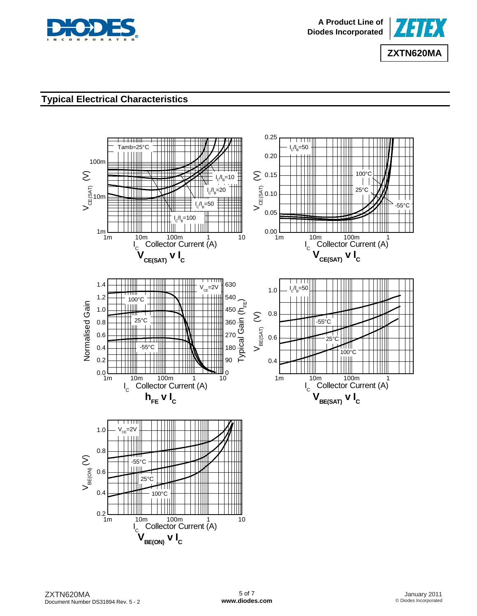



# **Typical Electrical Characteristics**

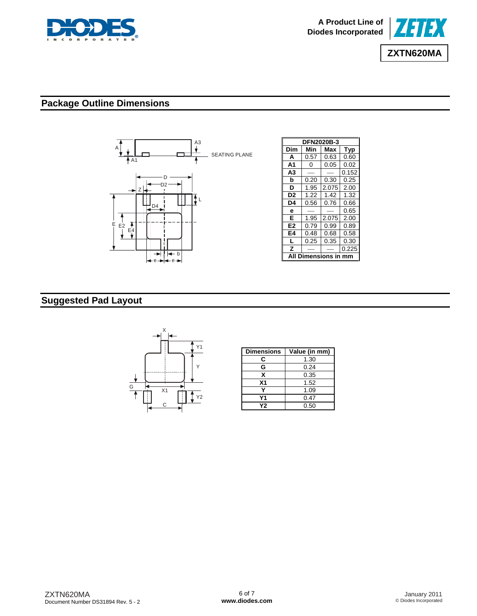



# **Package Outline Dimensions**



# **Suggested Pad Layout**



| <b>Dimensions</b> | Value (in mm) |
|-------------------|---------------|
| С                 | 1.30          |
| G                 | 0.24          |
| x                 | 0.35          |
| X <sub>1</sub>    | 1.52          |
|                   | 1.09          |
| Υ1                | 0.47          |
| Υ2                | 0.50          |